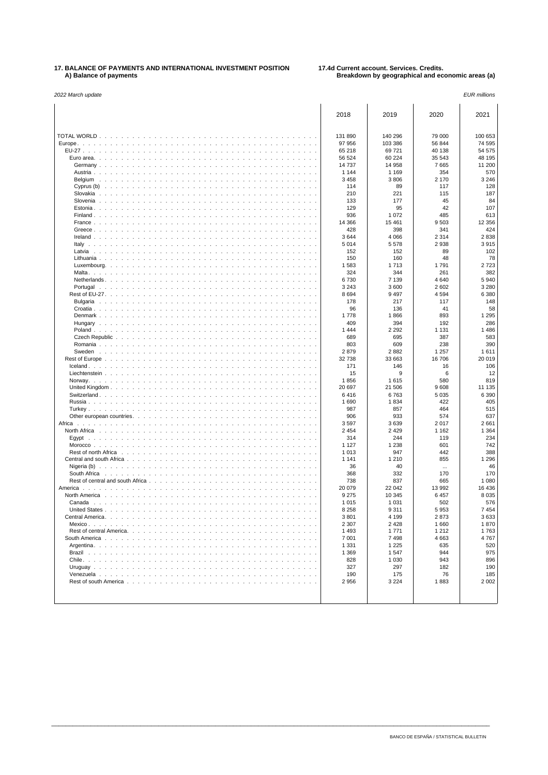## **17. BALANCE OF PAYMENTS AND INTERNATIONAL INVESTMENT POSITION 17.4d Current account. Services. Credits. A) Balance of payments Breakdown by geographical and economic areas (a)**

| 2022 March update | <b>EUR</b> millions |
|-------------------|---------------------|
|-------------------|---------------------|

|                                                                                                                                                                                                                                                                               | 2018               | 2019              | 2020             | 2021             |
|-------------------------------------------------------------------------------------------------------------------------------------------------------------------------------------------------------------------------------------------------------------------------------|--------------------|-------------------|------------------|------------------|
| TOTAL WORLD                                                                                                                                                                                                                                                                   | 131 890            | 140 296           | 79 000           | 100 653          |
| Europe.<br>$\sim$<br>$\overline{\phantom{a}}$<br>$\sim$<br>$\sim$                                                                                                                                                                                                             | 97 956             | 103 386           | 56 844           | 74 595           |
| Euro area. $\ldots$<br>$\sim$                                                                                                                                                                                                                                                 | 65 218<br>56 524   | 69721<br>60 224   | 40 138<br>35 543 | 54 575<br>48 195 |
| Germany<br>$\sim$<br>$\sim$                                                                                                                                                                                                                                                   | 14737              | 14 958            | 7665             | 11 200           |
| Austria<br>design and a series of the control of<br>$\sim$<br>$\mathbf{r}$                                                                                                                                                                                                    | 1 1 4 4            | 1 1 6 9           | 354              | 570              |
| Belgium<br>$\sim$<br>$\mathbf{r}$<br>$\sim$<br>$\sim$<br>and a state<br>$\sim$<br>$\sim$                                                                                                                                                                                      | 3 4 5 8            | 3806              | 2 170            | 3 2 4 6          |
| Cyprus $(b)$ .<br>the second contract of the second contract of the second contract of the second contract of the second contract of the second contract of the second contract of the second contract of the second contract of the second cont<br>$\sim$ $\sim$<br>n.<br>÷. | 114                | 89                | 117              | 128              |
| Slovakia<br>$\sim$<br>and a state<br>$\sim$<br>$\sim$<br>$\sim$                                                                                                                                                                                                               | 210                | 221               | 115              | 187              |
| Slovenia                                                                                                                                                                                                                                                                      | 133                | 177               | 45               | 84               |
| Estonia<br>Finland                                                                                                                                                                                                                                                            | 129<br>936         | 95<br>1 0 7 2     | 42<br>485        | 107<br>613       |
| France $\ldots$ $\ldots$ $\ldots$ $\ldots$ $\ldots$ $\ldots$ $\ldots$ $\ldots$<br>$\sim$                                                                                                                                                                                      | 14 3 66            | 15 4 61           | 9503             | 12 3 5 6         |
| Greece                                                                                                                                                                                                                                                                        | 428                | 398               | 341              | 424              |
| Ireland $\ldots$ , $\ldots$ , $\ldots$                                                                                                                                                                                                                                        | 3644               | 4 0 6 6           | 2 3 1 4          | 2838             |
| Italy $\ldots$ $\ldots$ .<br>$\sim$ $\sim$<br>$\sim$<br>$\sim$<br>$\sim$<br>$\sim$                                                                                                                                                                                            | 5014               | 5578              | 2938             | 3915             |
| Latvia<br><b>Service</b><br>$\ddot{\phantom{a}}$<br>$\ddot{\phantom{a}}$                                                                                                                                                                                                      | 152                | 152               | 89               | 102              |
| Lithuania<br>n.<br>$\sim$ $\sim$<br>$\sim$<br>n.<br>n.<br>n.<br>n.                                                                                                                                                                                                            | 150<br>1583        | 160<br>1713       | 48<br>1791       | 78<br>2723       |
| Luxembourg. $\ldots$ $\ldots$ $\ldots$ $\ldots$<br>$\sim$<br>$\mathcal{A}=\mathcal{A}=\mathcal{A}$                                                                                                                                                                            | 324                | 344               | 261              | 382              |
| Netherlands                                                                                                                                                                                                                                                                   | 6730               | 7 1 3 9           | 4 6 4 0          | 5940             |
| Portugal<br>$\sim$<br>and a state<br>$\sim$ $\sim$<br>$\sim$                                                                                                                                                                                                                  | 3 2 4 3            | 3600              | 2 602            | 3 2 8 0          |
|                                                                                                                                                                                                                                                                               | 8694               | 9 4 9 7           | 4594             | 6 3 8 0          |
| Bulgaria<br>$\sim$<br>$\sim$<br>design and contract and a<br>$\sim$<br>$\sim$<br>$\sim$<br>$\mathbf{r}$<br>$\mathbf{r}$                                                                                                                                                       | 178                | 217               | 117              | 148              |
| Croatia $\ldots$ $\ldots$ $\ldots$                                                                                                                                                                                                                                            | 96                 | 136               | 41               | 58               |
| Denmark<br>$\sim$<br>Hungary<br>$\ddot{\phantom{a}}$<br>$\ddot{\phantom{a}}$                                                                                                                                                                                                  | 1778<br>409        | 1866<br>394       | 893<br>192       | 1 2 9 5<br>286   |
| Poland<br>and a straight and a straight and<br>$\sim$<br>n.                                                                                                                                                                                                                   | 1444               | 2 2 9 2           | 1 1 3 1          | 1486             |
| Czech Republic                                                                                                                                                                                                                                                                | 689                | 695               | 387              | 583              |
| Romania<br>$\sim$ $\sim$ $\sim$<br>the contract of the contract of                                                                                                                                                                                                            | 803                | 609               | 238              | 390              |
| Sweden                                                                                                                                                                                                                                                                        | 2879               | 2882              | 1 2 5 7          | 1611             |
| Rest of Europe<br>$\sim$<br>$\mathbf{r}$<br>$lceland.$<br>de la caractería de la caractería de la<br>$\sim$                                                                                                                                                                   | 32 738<br>171      | 33 663<br>146     | 16706<br>16      | 20 019<br>106    |
| Liechtenstein<br>$\sim$<br>$\sim$ $\sim$                                                                                                                                                                                                                                      | 15                 | 9                 | 6                | 12               |
| Norway. $\ldots$ $\ldots$ $\ldots$ $\ldots$<br>$\sim$                                                                                                                                                                                                                         | 1856               | 1615              | 580              | 819              |
| United Kingdom<br>$\sim$<br>the state of the state of the state of the<br>$\sim$<br>$\sim$                                                                                                                                                                                    | 20 697             | 21 506            | 9608             | 11 135           |
| Switzerland.<br>$\sim$<br>$\sim$<br>÷.<br>$\mathbf{r}$<br>$\sim$                                                                                                                                                                                                              | 6416               | 6763              | 5 0 3 5          | 6 3 9 0          |
| Russia<br>$\sim$<br><b>Service</b><br><b>Service</b><br>n.<br>$\sim$<br>$\sim$<br>- 1                                                                                                                                                                                         | 1690<br>987        | 1834<br>857       | 422<br>464       | 405<br>515       |
| Turkey $\ldots$ $\ldots$ $\ldots$<br>and a state<br>the contract of the con-<br>Other european countries.                                                                                                                                                                     | 906                | 933               | 574              | 637              |
| Africa<br>$\mathbf{r}$                                                                                                                                                                                                                                                        | 3597               | 3639              | 2017             | 2661             |
| North Africa<br>and a series and a series<br>i.                                                                                                                                                                                                                               | 2 4 5 4            | 2 4 2 9           | 1 1 6 2          | 1 3 6 4          |
|                                                                                                                                                                                                                                                                               | 314                | 244               | 119              | 234              |
| $Moreover. \ldots \ldots$<br>and a state<br>$\sim$<br>Rest of north Africa                                                                                                                                                                                                    | 1 1 2 7<br>1013    | 1 2 3 8<br>947    | 601<br>442       | 742<br>388       |
| .<br>Central and south Africa<br>$\sim$                                                                                                                                                                                                                                       | 1 1 4 1            | 1 2 1 0           | 855              | 1 2 9 6          |
| Nigeria (b) $\ldots$ , $\ldots$ , $\ldots$ , $\ldots$<br>$\sim$<br>$\sim$<br>$\sim$<br>n.<br>÷.<br>n.<br>$\mathbf{r}$                                                                                                                                                         | 36                 | 40                | $\cdots$         | 46               |
| South Africa<br>and a series of<br>designed to the control of the control of the control of the control of the control of the control of the control of the control of the control of the control of the control of the control of the control of the control of              | 368                | 332               | 170              | 170              |
| Rest of central and south Africa<br>$\sim$                                                                                                                                                                                                                                    | 738                | 837               | 665              | 1 0 8 0          |
| America                                                                                                                                                                                                                                                                       | 20 079             | 22 042            | 13 992           | 16 4 36          |
| North America<br>$\sim$ $\sim$<br>and a state of<br>$\sim$                                                                                                                                                                                                                    | 9 2 7 5<br>1015    | 10 345<br>1 0 3 1 | 6 4 5 7<br>502   | 8 0 3 5<br>576   |
| $\sim$                                                                                                                                                                                                                                                                        | 8 2 5 8            | 9 3 1 1           | 5953             | 7454             |
|                                                                                                                                                                                                                                                                               | 3801               | 4 1 9 9           | 2873             | 3633             |
|                                                                                                                                                                                                                                                                               | 2 3 0 7            | 2 4 2 8           | 1660             | 1870             |
|                                                                                                                                                                                                                                                                               | 1493               | 1771              | 1 2 1 2          | 1763             |
|                                                                                                                                                                                                                                                                               | 7 0 0 1<br>1 3 3 1 | 7498<br>1 2 2 5   | 4 6 6 3<br>635   | 4767<br>520      |
|                                                                                                                                                                                                                                                                               | 1 3 6 9            | 1547              | 944              | 975              |
|                                                                                                                                                                                                                                                                               | 828                | 1 0 3 0           | 943              | 896              |
|                                                                                                                                                                                                                                                                               | 327                | 297               | 182              | 190              |
|                                                                                                                                                                                                                                                                               | 190                | 175               | 76               | 185              |
|                                                                                                                                                                                                                                                                               | 2956               | 3 2 2 4           | 1883             | 2002             |
|                                                                                                                                                                                                                                                                               |                    |                   |                  |                  |
|                                                                                                                                                                                                                                                                               |                    |                   |                  |                  |

\_\_\_\_\_\_\_\_\_\_\_\_\_\_\_\_\_\_\_\_\_\_\_\_\_\_\_\_\_\_\_\_\_\_\_\_\_\_\_\_\_\_\_\_\_\_\_\_\_\_\_\_\_\_\_\_\_\_\_\_\_\_\_\_\_\_\_\_\_\_\_\_\_\_\_\_\_\_\_\_\_\_\_\_\_\_\_\_\_\_\_\_\_\_\_\_\_\_\_\_\_\_\_\_\_\_\_\_\_\_\_\_\_\_\_\_\_\_\_\_\_\_\_